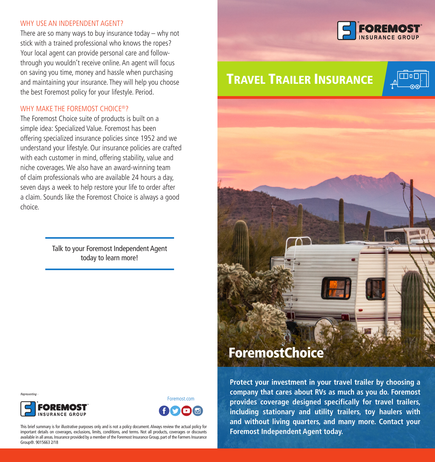#### WHY USE AN INDEPENDENT AGENT?

There are so many ways to buy insurance today – why not stick with a trained professional who knows the ropes? Your local agent can provide personal care and followthrough you wouldn't receive online. An agent will focus on saving you time, money and hassle when purchasing and maintaining your insurance. They will help you choose the best Foremost policy for your lifestyle. Period.

#### WHY MAKE THE FOREMOST CHOICE<sup>®</sup>?

The Foremost Choice suite of products is built on a simple idea: Specialized Value. Foremost has been offering specialized insurance policies since 1952 and we understand your lifestyle. Our insurance policies are crafted with each customer in mind, offering stability, value and niche coverages. We also have an award-winning team of claim professionals who are available 24 hours a day, seven days a week to help restore your life to order after a claim. Sounds like the Foremost Choice is always a good choice.

> Talk to your Foremost Independent Agent today to learn more!



# TRAVEL TRAILER INSURANCE





**Protect your investment in your travel trailer by choosing a company that cares about RVs as much as you do. Foremost provides coverage designed specifically for travel trailers, including stationary and utility trailers, toy haulers with and without living quarters, and many more. Contact your Foremost Independent Agent today.**

Group®. 9015663 2/18



This brief summary is for illustrative purposes only and is not a policy document. Always review the actual policy for important details on coverages, exclusions, limits, conditions, and terms. Not all products, coverages or discounts available in all areas. Insurance provided by a member of the Foremost Insurance Group, part of the Farmers Insurance

Foremost.com